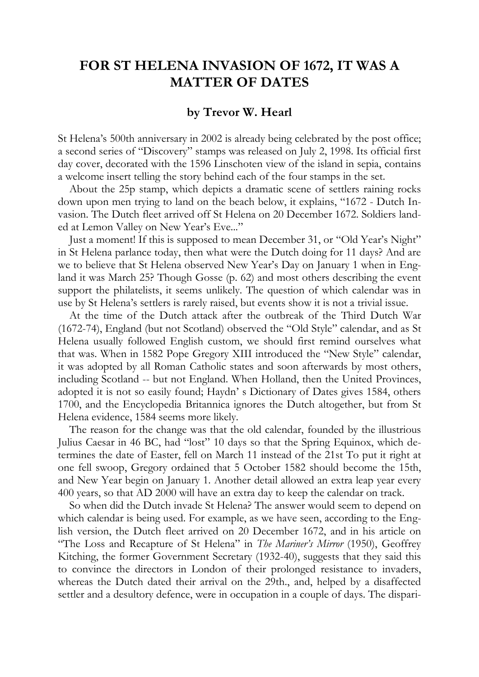## **FOR ST HELENA INVASION OF 1672, IT WAS A MATTER OF DATES**

## **by Trevor W. Hearl**

St Helena's 500th anniversary in 2002 is already being celebrated by the post office; a second series of "Discovery" stamps was released on July 2, 1998. Its official first day cover, decorated with the 1596 Linschoten view of the island in sepia, contains a welcome insert telling the story behind each of the four stamps in the set.

About the 25p stamp, which depicts a dramatic scene of settlers raining rocks down upon men trying to land on the beach below, it explains, "1672 - Dutch Invasion. The Dutch fleet arrived off St Helena on 20 December 1672. Soldiers landed at Lemon Valley on New Year's Eve..."

Just a moment! If this is supposed to mean December 31, or "Old Year's Night" in St Helena parlance today, then what were the Dutch doing for 11 days? And are we to believe that St Helena observed New Year's Day on January 1 when in England it was March 25? Though Gosse (p. 62) and most others describing the event support the philatelists, it seems unlikely. The question of which calendar was in use by St Helena's settlers is rarely raised, but events show it is not a trivial issue.

At the time of the Dutch attack after the outbreak of the Third Dutch War (1672-74), England (but not Scotland) observed the "Old Style" calendar, and as St Helena usually followed English custom, we should first remind ourselves what that was. When in 1582 Pope Gregory XIII introduced the "New Style" calendar, it was adopted by all Roman Catholic states and soon afterwards by most others, including Scotland -- but not England. When Holland, then the United Provinces, adopted it is not so easily found; Haydn' s Dictionary of Dates gives 1584, others 1700, and the Encyclopedia Britannica ignores the Dutch altogether, but from St Helena evidence, 1584 seems more likely.

The reason for the change was that the old calendar, founded by the illustrious Julius Caesar in 46 BC, had "lost" 10 days so that the Spring Equinox, which determines the date of Easter, fell on March 11 instead of the 21st To put it right at one fell swoop, Gregory ordained that 5 October 1582 should become the 15th, and New Year begin on January 1. Another detail allowed an extra leap year every 400 years, so that AD 2000 will have an extra day to keep the calendar on track.

So when did the Dutch invade St Helena? The answer would seem to depend on which calendar is being used. For example, as we have seen, according to the English version, the Dutch fleet arrived on 20 December 1672, and in his article on "The Loss and Recapture of St Helena" in *The Mariner's Mirror* (1950), Geoffrey Kitching, the former Government Secretary (1932-40), suggests that they said this to convince the directors in London of their prolonged resistance to invaders, whereas the Dutch dated their arrival on the 29th., and, helped by a disaffected settler and a desultory defence, were in occupation in a couple of days. The dispari